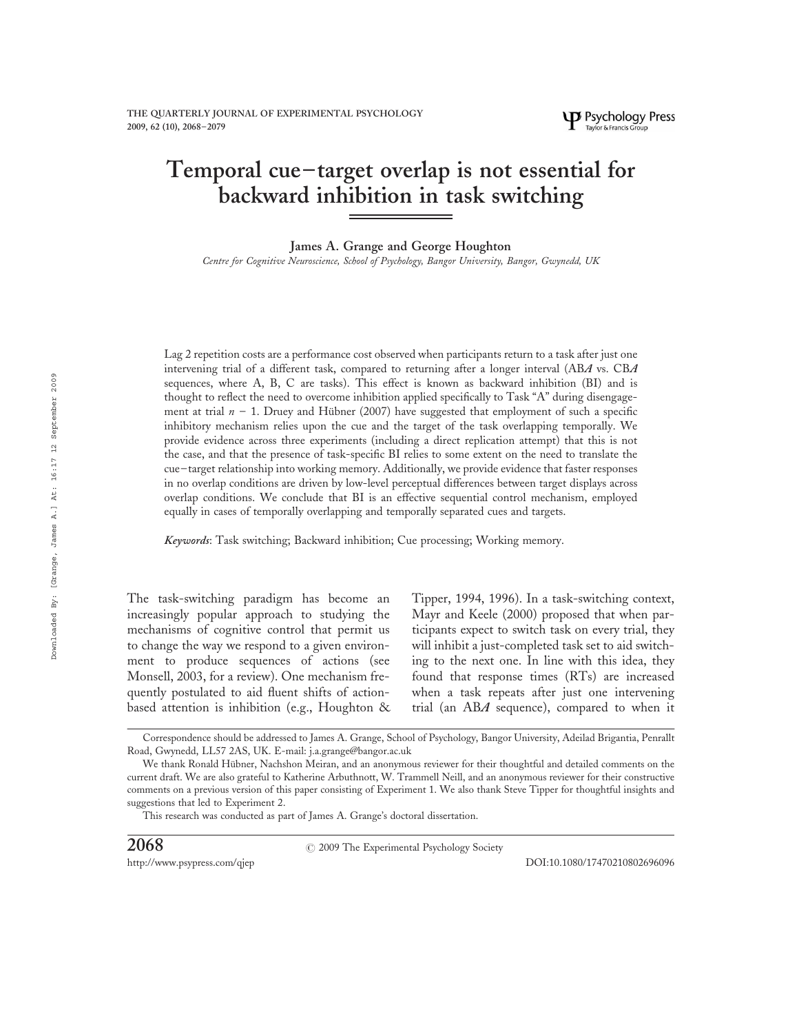# Temporal cue – target overlap is not essential for backward inhibition in task switching

James A. Grange and George Houghton

Centre for Cognitive Neuroscience, School of Psychology, Bangor University, Bangor, Gwynedd, UK

Lag 2 repetition costs are a performance cost observed when participants return to a task after just one intervening trial of a different task, compared to returning after a longer interval (ABA vs. CBA sequences, where A, B, C are tasks). This effect is known as backward inhibition (BI) and is thought to reflect the need to overcome inhibition applied specifically to Task "A" during disengagement at trial  $n - 1$ . Druey and Hübner (2007) have suggested that employment of such a specific inhibitory mechanism relies upon the cue and the target of the task overlapping temporally. We provide evidence across three experiments (including a direct replication attempt) that this is not the case, and that the presence of task-specific BI relies to some extent on the need to translate the cue– target relationship into working memory. Additionally, we provide evidence that faster responses in no overlap conditions are driven by low-level perceptual differences between target displays across overlap conditions. We conclude that BI is an effective sequential control mechanism, employed equally in cases of temporally overlapping and temporally separated cues and targets.

Keywords: Task switching; Backward inhibition; Cue processing; Working memory.

The task-switching paradigm has become an increasingly popular approach to studying the mechanisms of cognitive control that permit us to change the way we respond to a given environment to produce sequences of actions (see Monsell, 2003, for a review). One mechanism frequently postulated to aid fluent shifts of actionbased attention is inhibition (e.g., Houghton & Tipper, 1994, 1996). In a task-switching context, Mayr and Keele (2000) proposed that when participants expect to switch task on every trial, they will inhibit a just-completed task set to aid switching to the next one. In line with this idea, they found that response times (RTs) are increased when a task repeats after just one intervening trial (an ABA sequence), compared to when it

 $2068$   $\hspace{1.5cm}$   $\hspace{1.5cm}$   $\hspace{1.5cm}$   $\hspace{1.5cm}$   $\hspace{1.5cm}$   $\hspace{1.5cm}$   $\hspace{1.5cm}$   $\hspace{1.5cm}$   $\hspace{1.5cm}$   $\hspace{1.5cm}$   $\hspace{1.5cm}$   $\hspace{1.5cm}$   $\hspace{1.5cm}$   $\hspace{1.5cm}$   $\hspace{1.5cm}$   $\hspace{1.5cm}$   $\hspace{1.5cm}$   $\hspace{1.5cm}$ 

Correspondence should be addressed to James A. Grange, School of Psychology, Bangor University, Adeilad Brigantia, Penrallt Road, Gwynedd, LL57 2AS, UK. E-mail: j.a.grange@bangor.ac.uk

We thank Ronald Hübner, Nachshon Meiran, and an anonymous reviewer for their thoughtful and detailed comments on the current draft. We are also grateful to Katherine Arbuthnott, W. Trammell Neill, and an anonymous reviewer for their constructive comments on a previous version of this paper consisting of Experiment 1. We also thank Steve Tipper for thoughtful insights and suggestions that led to Experiment 2.

This research was conducted as part of James A. Grange's doctoral dissertation.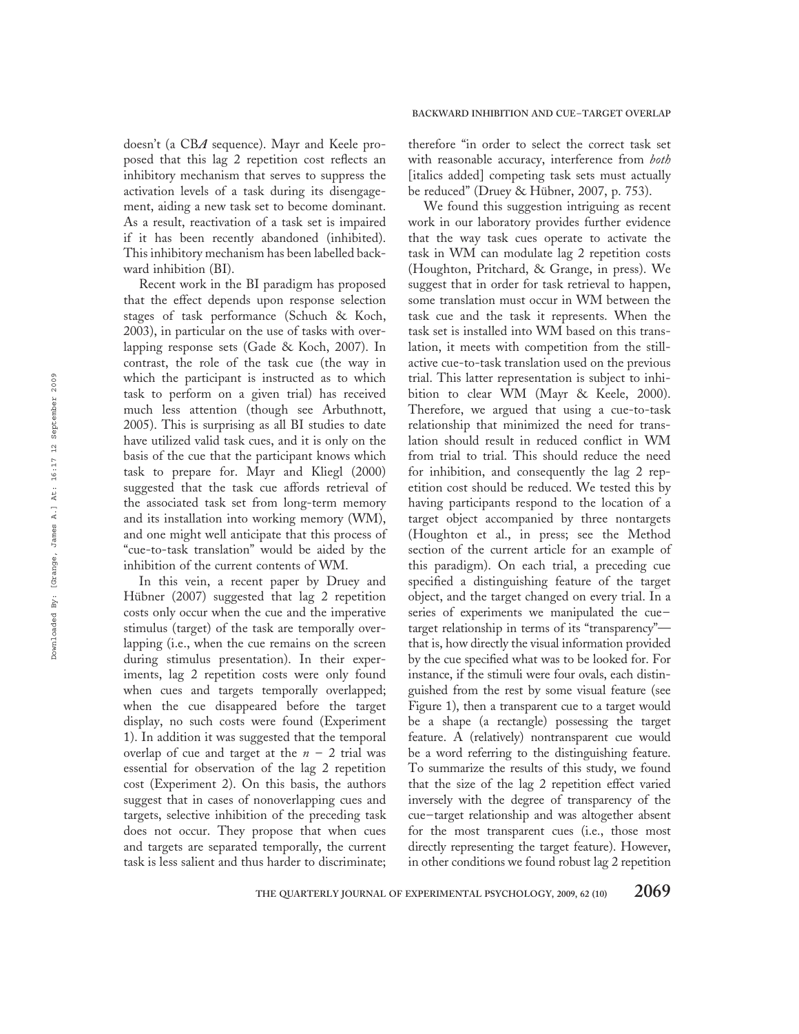doesn't (a CBA sequence). Mayr and Keele proposed that this lag 2 repetition cost reflects an inhibitory mechanism that serves to suppress the activation levels of a task during its disengagement, aiding a new task set to become dominant. As a result, reactivation of a task set is impaired if it has been recently abandoned (inhibited). This inhibitory mechanism has been labelled backward inhibition (BI).

Recent work in the BI paradigm has proposed that the effect depends upon response selection stages of task performance (Schuch & Koch, 2003), in particular on the use of tasks with overlapping response sets (Gade & Koch, 2007). In contrast, the role of the task cue (the way in which the participant is instructed as to which task to perform on a given trial) has received much less attention (though see Arbuthnott, 2005). This is surprising as all BI studies to date have utilized valid task cues, and it is only on the basis of the cue that the participant knows which task to prepare for. Mayr and Kliegl (2000) suggested that the task cue affords retrieval of the associated task set from long-term memory and its installation into working memory (WM), and one might well anticipate that this process of "cue-to-task translation" would be aided by the inhibition of the current contents of WM.

In this vein, a recent paper by Druey and Hübner (2007) suggested that lag 2 repetition costs only occur when the cue and the imperative stimulus (target) of the task are temporally overlapping (i.e., when the cue remains on the screen during stimulus presentation). In their experiments, lag 2 repetition costs were only found when cues and targets temporally overlapped; when the cue disappeared before the target display, no such costs were found (Experiment 1). In addition it was suggested that the temporal overlap of cue and target at the  $n - 2$  trial was essential for observation of the lag 2 repetition cost (Experiment 2). On this basis, the authors suggest that in cases of nonoverlapping cues and targets, selective inhibition of the preceding task does not occur. They propose that when cues and targets are separated temporally, the current task is less salient and thus harder to discriminate;

# BACKWARD INHIBITION AND CUE –TARGET OVERLAP

therefore "in order to select the correct task set with reasonable accuracy, interference from both [italics added] competing task sets must actually be reduced" (Druey & Hübner, 2007, p. 753).

We found this suggestion intriguing as recent work in our laboratory provides further evidence that the way task cues operate to activate the task in WM can modulate lag 2 repetition costs (Houghton, Pritchard, & Grange, in press). We suggest that in order for task retrieval to happen, some translation must occur in WM between the task cue and the task it represents. When the task set is installed into WM based on this translation, it meets with competition from the stillactive cue-to-task translation used on the previous trial. This latter representation is subject to inhibition to clear WM (Mayr & Keele, 2000). Therefore, we argued that using a cue-to-task relationship that minimized the need for translation should result in reduced conflict in WM from trial to trial. This should reduce the need for inhibition, and consequently the lag 2 repetition cost should be reduced. We tested this by having participants respond to the location of a target object accompanied by three nontargets (Houghton et al., in press; see the Method section of the current article for an example of this paradigm). On each trial, a preceding cue specified a distinguishing feature of the target object, and the target changed on every trial. In a series of experiments we manipulated the cue– target relationship in terms of its "transparency" that is, how directly the visual information provided by the cue specified what was to be looked for. For instance, if the stimuli were four ovals, each distinguished from the rest by some visual feature (see Figure 1), then a transparent cue to a target would be a shape (a rectangle) possessing the target feature. A (relatively) nontransparent cue would be a word referring to the distinguishing feature. To summarize the results of this study, we found that the size of the lag 2 repetition effect varied inversely with the degree of transparency of the cue– target relationship and was altogether absent for the most transparent cues (i.e., those most directly representing the target feature). However, in other conditions we found robust lag 2 repetition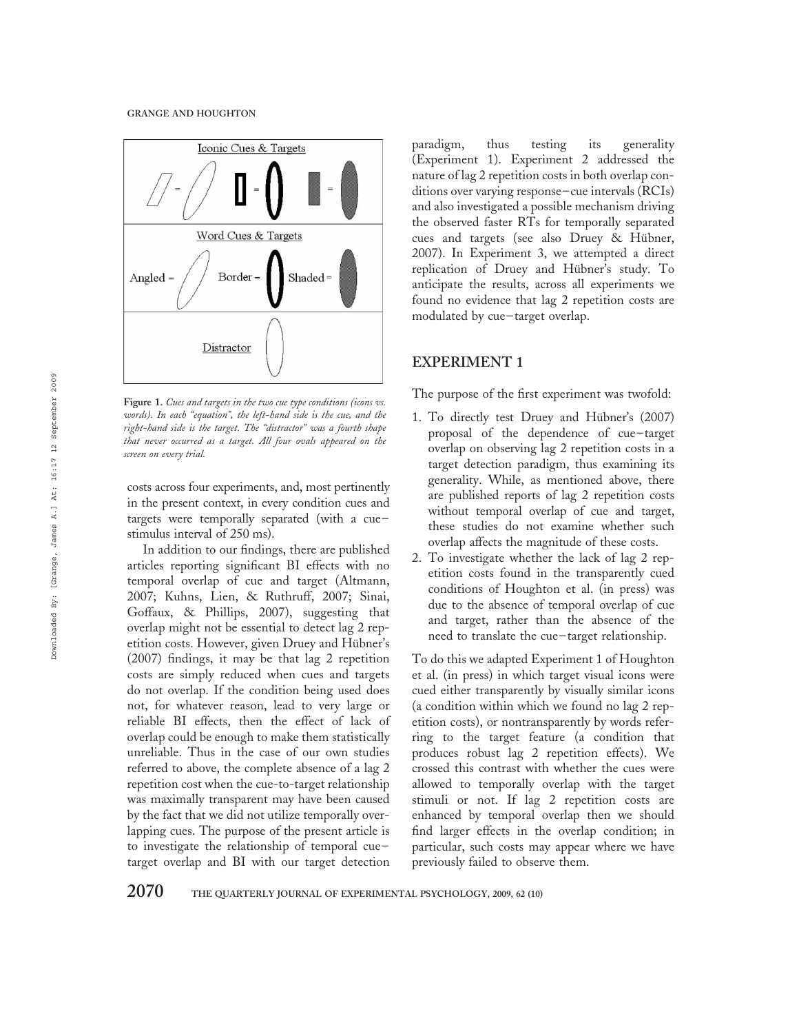

Figure 1. Cues and targets in the two cue type conditions (icons vs. words). In each "equation", the left-hand side is the cue, and the right-hand side is the target. The "distractor" was a fourth shape that never occurred as a target. All four ovals appeared on the screen on every trial.

costs across four experiments, and, most pertinently in the present context, in every condition cues and targets were temporally separated (with a cue– stimulus interval of 250 ms).

In addition to our findings, there are published articles reporting significant BI effects with no temporal overlap of cue and target (Altmann, 2007; Kuhns, Lien, & Ruthruff, 2007; Sinai, Goffaux, & Phillips, 2007), suggesting that overlap might not be essential to detect lag 2 repetition costs. However, given Druey and Hübner's (2007) findings, it may be that lag 2 repetition costs are simply reduced when cues and targets do not overlap. If the condition being used does not, for whatever reason, lead to very large or reliable BI effects, then the effect of lack of overlap could be enough to make them statistically unreliable. Thus in the case of our own studies referred to above, the complete absence of a lag 2 repetition cost when the cue-to-target relationship was maximally transparent may have been caused by the fact that we did not utilize temporally overlapping cues. The purpose of the present article is to investigate the relationship of temporal cue – target overlap and BI with our target detection paradigm, thus testing its generality (Experiment 1). Experiment 2 addressed the nature of lag 2 repetition costs in both overlap conditions over varying response – cue intervals (RCIs) and also investigated a possible mechanism driving the observed faster RTs for temporally separated cues and targets (see also Druey & Hübner, 2007). In Experiment 3, we attempted a direct replication of Druey and Hübner's study. To anticipate the results, across all experiments we found no evidence that lag 2 repetition costs are modulated by cue – target overlap.

# EXPERIMENT 1

The purpose of the first experiment was twofold:

- 1. To directly test Druey and Hübner's (2007) proposal of the dependence of cue– target overlap on observing lag 2 repetition costs in a target detection paradigm, thus examining its generality. While, as mentioned above, there are published reports of lag 2 repetition costs without temporal overlap of cue and target, these studies do not examine whether such overlap affects the magnitude of these costs.
- 2. To investigate whether the lack of lag 2 repetition costs found in the transparently cued conditions of Houghton et al. (in press) was due to the absence of temporal overlap of cue and target, rather than the absence of the need to translate the cue – target relationship.

To do this we adapted Experiment 1 of Houghton et al. (in press) in which target visual icons were cued either transparently by visually similar icons (a condition within which we found no lag 2 repetition costs), or nontransparently by words referring to the target feature (a condition that produces robust lag 2 repetition effects). We crossed this contrast with whether the cues were allowed to temporally overlap with the target stimuli or not. If lag 2 repetition costs are enhanced by temporal overlap then we should find larger effects in the overlap condition; in particular, such costs may appear where we have previously failed to observe them.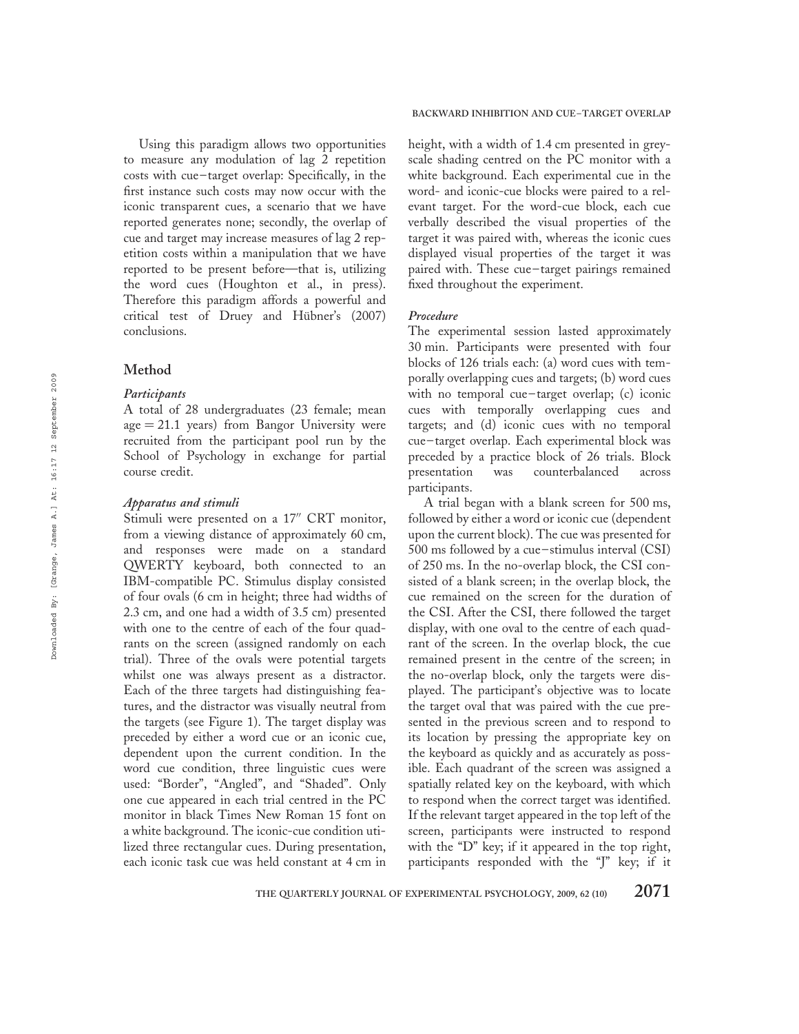Using this paradigm allows two opportunities to measure any modulation of lag 2 repetition costs with cue – target overlap: Specifically, in the first instance such costs may now occur with the iconic transparent cues, a scenario that we have reported generates none; secondly, the overlap of cue and target may increase measures of lag 2 repetition costs within a manipulation that we have reported to be present before—that is, utilizing the word cues (Houghton et al., in press). Therefore this paradigm affords a powerful and critical test of Druey and Hübner's (2007) conclusions.

## Method

## **Participants**

A total of 28 undergraduates (23 female; mean  $age = 21.1$  years) from Bangor University were recruited from the participant pool run by the School of Psychology in exchange for partial course credit.

## Apparatus and stimuli

Stimuli were presented on a 17" CRT monitor, from a viewing distance of approximately 60 cm, and responses were made on a standard QWERTY keyboard, both connected to an IBM-compatible PC. Stimulus display consisted of four ovals (6 cm in height; three had widths of 2.3 cm, and one had a width of 3.5 cm) presented with one to the centre of each of the four quadrants on the screen (assigned randomly on each trial). Three of the ovals were potential targets whilst one was always present as a distractor. Each of the three targets had distinguishing features, and the distractor was visually neutral from the targets (see Figure 1). The target display was preceded by either a word cue or an iconic cue, dependent upon the current condition. In the word cue condition, three linguistic cues were used: "Border", "Angled", and "Shaded". Only one cue appeared in each trial centred in the PC monitor in black Times New Roman 15 font on a white background. The iconic-cue condition utilized three rectangular cues. During presentation, each iconic task cue was held constant at 4 cm in height, with a width of 1.4 cm presented in greyscale shading centred on the PC monitor with a white background. Each experimental cue in the word- and iconic-cue blocks were paired to a relevant target. For the word-cue block, each cue verbally described the visual properties of the target it was paired with, whereas the iconic cues displayed visual properties of the target it was paired with. These cue – target pairings remained fixed throughout the experiment.

## Procedure

The experimental session lasted approximately 30 min. Participants were presented with four blocks of 126 trials each: (a) word cues with temporally overlapping cues and targets; (b) word cues with no temporal cue-target overlap; (c) iconic cues with temporally overlapping cues and targets; and (d) iconic cues with no temporal cue – target overlap. Each experimental block was preceded by a practice block of 26 trials. Block presentation was counterbalanced across participants.

A trial began with a blank screen for 500 ms, followed by either a word or iconic cue (dependent upon the current block). The cue was presented for 500 ms followed by a cue – stimulus interval (CSI) of 250 ms. In the no-overlap block, the CSI consisted of a blank screen; in the overlap block, the cue remained on the screen for the duration of the CSI. After the CSI, there followed the target display, with one oval to the centre of each quadrant of the screen. In the overlap block, the cue remained present in the centre of the screen; in the no-overlap block, only the targets were displayed. The participant's objective was to locate the target oval that was paired with the cue presented in the previous screen and to respond to its location by pressing the appropriate key on the keyboard as quickly and as accurately as possible. Each quadrant of the screen was assigned a spatially related key on the keyboard, with which to respond when the correct target was identified. If the relevant target appeared in the top left of the screen, participants were instructed to respond with the "D" key; if it appeared in the top right, participants responded with the "J" key; if it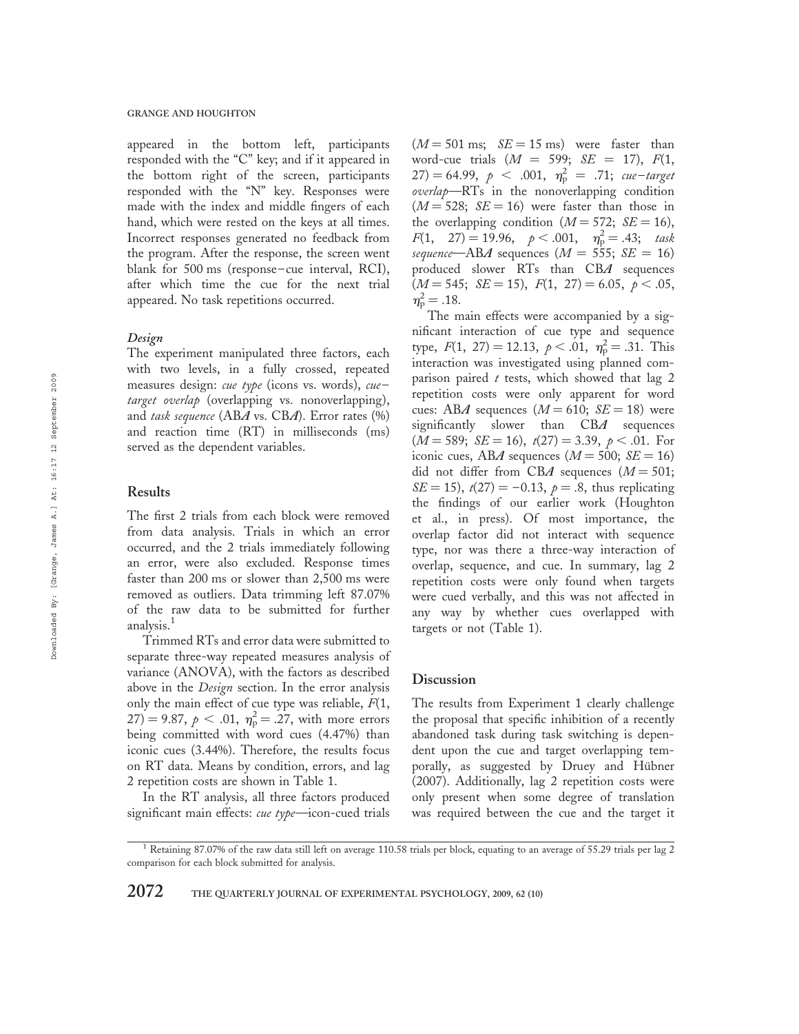appeared in the bottom left, participants responded with the "C" key; and if it appeared in the bottom right of the screen, participants responded with the "N" key. Responses were made with the index and middle fingers of each hand, which were rested on the keys at all times. Incorrect responses generated no feedback from the program. After the response, the screen went blank for 500 ms (response – cue interval, RCI), after which time the cue for the next trial appeared. No task repetitions occurred.

#### Design

The experiment manipulated three factors, each with two levels, in a fully crossed, repeated measures design: *cue type* (icons vs. words), *cue*target overlap (overlapping vs. nonoverlapping), and task sequence  $(ABA \text{ vs. } CBA)$ . Error rates  $(\%)$ and reaction time (RT) in milliseconds (ms) served as the dependent variables.

## Results

The first 2 trials from each block were removed from data analysis. Trials in which an error occurred, and the 2 trials immediately following an error, were also excluded. Response times faster than 200 ms or slower than 2,500 ms were removed as outliers. Data trimming left 87.07% of the raw data to be submitted for further analysis.<sup>1</sup>

Trimmed RTs and error data were submitted to separate three-way repeated measures analysis of variance (ANOVA), with the factors as described above in the *Design* section. In the error analysis only the main effect of cue type was reliable,  $F(1, 1)$  $(27) = 9.87, p < .01, \eta_{p}^{2} = .27$ , with more errors being committed with word cues (4.47%) than iconic cues (3.44%). Therefore, the results focus on RT data. Means by condition, errors, and lag 2 repetition costs are shown in Table 1.

In the RT analysis, all three factors produced significant main effects: *cue type*—icon-cued trials  $(M = 501 \text{ ms}; \quad SE = 15 \text{ ms})$  were faster than word-cue trials  $(M = 599; SE = 17)$ ,  $F(1,$  $(27) = 64.99, p < .001, \eta_{\rm p}^2 = .71; \; \text{cue-target}$ overlap—RTs in the nonoverlapping condition  $(M = 528; SE = 16)$  were faster than those in the overlapping condition ( $M = 572$ ;  $SE = 16$ ),  $F(1, 27) = 19.96, p < .001, \eta_p^2 = .43;$  task sequence—ABA sequences  $(M = 555; SE = 16)$ produced slower RTs than CBA sequences  $(M = 545; \, SE = 15), \, F(1, 27) = 6.05, \, p < .05,$  $\eta_{\rm p}^2 = .18.$ 

The main effects were accompanied by a significant interaction of cue type and sequence type,  $F(1, 27) = 12.13, p < .01, \eta_{p}^{2} = .31$ . This interaction was investigated using planned comparison paired  $t$  tests, which showed that lag 2 repetition costs were only apparent for word cues: ABA sequences  $(M = 610; \text{ } SE = 18)$  were significantly slower than CBA sequences  $(M = 589; SE = 16), t(27) = 3.39, p < .01.$  For iconic cues, ABA sequences ( $M = 500$ ;  $SE = 16$ ) did not differ from CBA sequences  $(M = 501;$  $SE = 15$ ,  $t(27) = -0.13$ ,  $p = .8$ , thus replicating the findings of our earlier work (Houghton et al., in press). Of most importance, the overlap factor did not interact with sequence type, nor was there a three-way interaction of overlap, sequence, and cue. In summary, lag 2 repetition costs were only found when targets were cued verbally, and this was not affected in any way by whether cues overlapped with targets or not (Table 1).

#### **Discussion**

The results from Experiment 1 clearly challenge the proposal that specific inhibition of a recently abandoned task during task switching is dependent upon the cue and target overlapping temporally, as suggested by Druey and Hübner (2007). Additionally, lag 2 repetition costs were only present when some degree of translation was required between the cue and the target it

<sup>&</sup>lt;sup>1</sup> Retaining 87.07% of the raw data still left on average 110.58 trials per block, equating to an average of 55.29 trials per lag 2 comparison for each block submitted for analysis.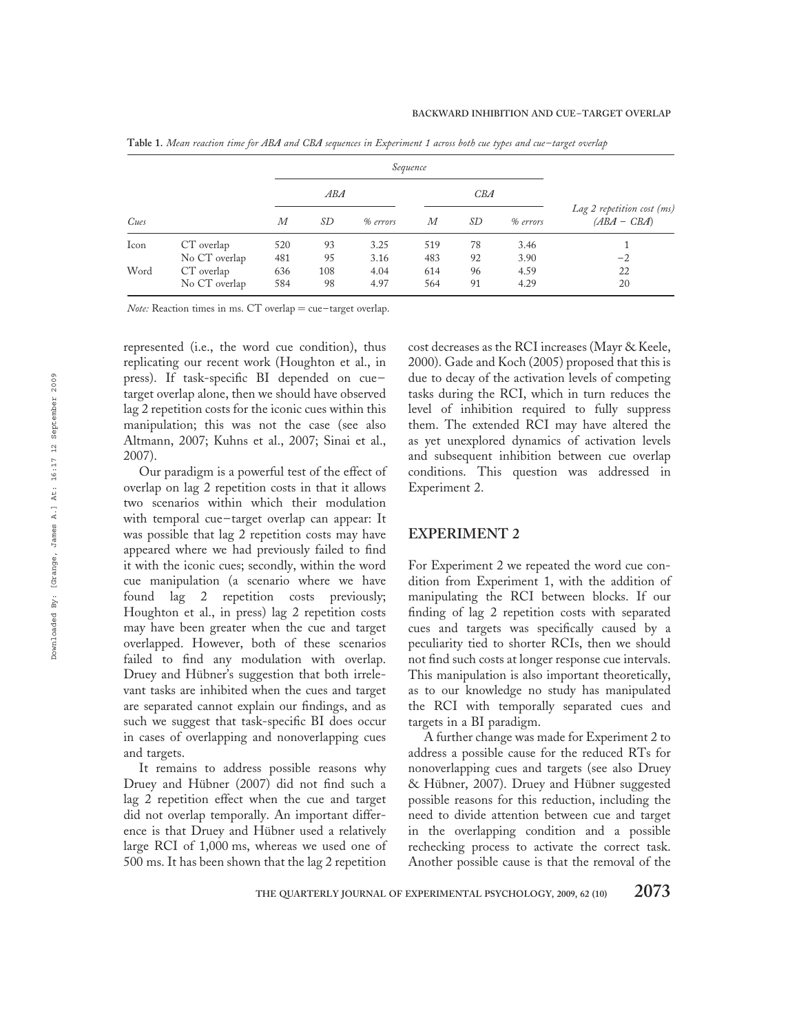|      |               |     |     | Sequence |     |    |          |                                             |  |
|------|---------------|-----|-----|----------|-----|----|----------|---------------------------------------------|--|
|      |               |     | ABA |          |     |    | CBA      |                                             |  |
| Cues |               | М   | SD  | % errors | М   | SD | % errors | Lag 2 repetition cost (ms)<br>$(ABA - CBA)$ |  |
| Icon | CT overlap    | 520 | 93  | 3.25     | 519 | 78 | 3.46     |                                             |  |
|      | No CT overlap | 481 | 95  | 3.16     | 483 | 92 | 3.90     | $-2$                                        |  |
| Word | CT overlap    | 636 | 108 | 4.04     | 614 | 96 | 4.59     | 22                                          |  |
|      | No CT overlap | 584 | 98  | 4.97     | 564 | 91 | 4.29     | 20                                          |  |

Table 1. Mean reaction time for ABA and CBA sequences in Experiment 1 across both cue types and cue– target overlap

Note: Reaction times in ms. CT overlap = cue-target overlap.

represented (i.e., the word cue condition), thus replicating our recent work (Houghton et al., in press). If task-specific BI depended on cuetarget overlap alone, then we should have observed lag 2 repetition costs for the iconic cues within this manipulation; this was not the case (see also Altmann, 2007; Kuhns et al., 2007; Sinai et al., 2007).

Our paradigm is a powerful test of the effect of overlap on lag 2 repetition costs in that it allows two scenarios within which their modulation with temporal cue – target overlap can appear: It was possible that lag 2 repetition costs may have appeared where we had previously failed to find it with the iconic cues; secondly, within the word cue manipulation (a scenario where we have found lag 2 repetition costs previously; Houghton et al., in press) lag 2 repetition costs may have been greater when the cue and target overlapped. However, both of these scenarios failed to find any modulation with overlap. Druey and Hübner's suggestion that both irrelevant tasks are inhibited when the cues and target are separated cannot explain our findings, and as such we suggest that task-specific BI does occur in cases of overlapping and nonoverlapping cues and targets.

It remains to address possible reasons why Druey and Hübner (2007) did not find such a lag 2 repetition effect when the cue and target did not overlap temporally. An important difference is that Druey and Hübner used a relatively large RCI of 1,000 ms, whereas we used one of 500 ms. It has been shown that the lag 2 repetition

cost decreases as the RCI increases (Mayr & Keele, 2000). Gade and Koch (2005) proposed that this is due to decay of the activation levels of competing tasks during the RCI, which in turn reduces the level of inhibition required to fully suppress them. The extended RCI may have altered the as yet unexplored dynamics of activation levels and subsequent inhibition between cue overlap conditions. This question was addressed in Experiment 2.

## EXPERIMENT 2

For Experiment 2 we repeated the word cue condition from Experiment 1, with the addition of manipulating the RCI between blocks. If our finding of lag 2 repetition costs with separated cues and targets was specifically caused by a peculiarity tied to shorter RCIs, then we should not find such costs at longer response cue intervals. This manipulation is also important theoretically, as to our knowledge no study has manipulated the RCI with temporally separated cues and targets in a BI paradigm.

A further change was made for Experiment 2 to address a possible cause for the reduced RTs for nonoverlapping cues and targets (see also Druey & Hübner, 2007). Druey and Hübner suggested possible reasons for this reduction, including the need to divide attention between cue and target in the overlapping condition and a possible rechecking process to activate the correct task. Another possible cause is that the removal of the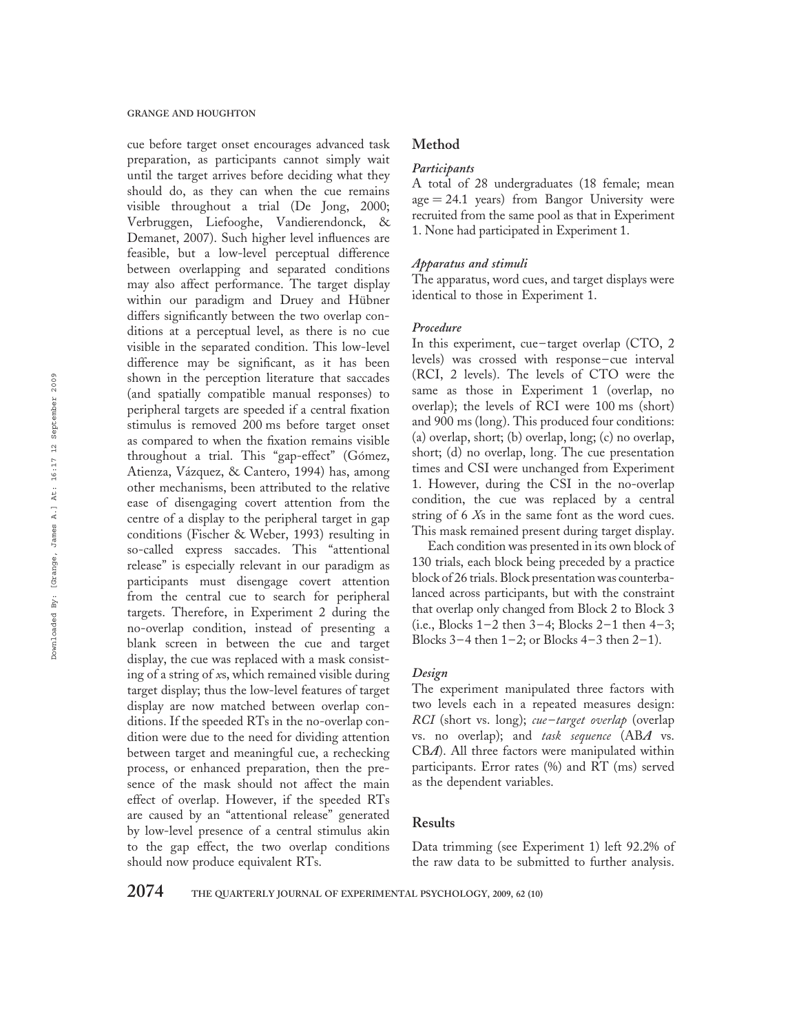cue before target onset encourages advanced task preparation, as participants cannot simply wait until the target arrives before deciding what they should do, as they can when the cue remains visible throughout a trial (De Jong, 2000; Verbruggen, Liefooghe, Vandierendonck, & Demanet, 2007). Such higher level influences are feasible, but a low-level perceptual difference between overlapping and separated conditions may also affect performance. The target display within our paradigm and Druey and Hübner differs significantly between the two overlap conditions at a perceptual level, as there is no cue visible in the separated condition. This low-level difference may be significant, as it has been shown in the perception literature that saccades (and spatially compatible manual responses) to peripheral targets are speeded if a central fixation stimulus is removed 200 ms before target onset as compared to when the fixation remains visible throughout a trial. This "gap-effect" (Gómez, Atienza, Vázquez, & Cantero, 1994) has, among other mechanisms, been attributed to the relative ease of disengaging covert attention from the centre of a display to the peripheral target in gap conditions (Fischer & Weber, 1993) resulting in so-called express saccades. This "attentional release" is especially relevant in our paradigm as participants must disengage covert attention from the central cue to search for peripheral targets. Therefore, in Experiment 2 during the no-overlap condition, instead of presenting a blank screen in between the cue and target display, the cue was replaced with a mask consisting of a string of xs, which remained visible during target display; thus the low-level features of target display are now matched between overlap conditions. If the speeded RTs in the no-overlap condition were due to the need for dividing attention between target and meaningful cue, a rechecking process, or enhanced preparation, then the presence of the mask should not affect the main effect of overlap. However, if the speeded RTs are caused by an "attentional release" generated by low-level presence of a central stimulus akin to the gap effect, the two overlap conditions should now produce equivalent RTs.

# Method

#### **Participants**

A total of 28 undergraduates (18 female; mean  $age = 24.1$  years) from Bangor University were recruited from the same pool as that in Experiment 1. None had participated in Experiment 1.

## Apparatus and stimuli

The apparatus, word cues, and target displays were identical to those in Experiment 1.

## Procedure

In this experiment, cue-target overlap (CTO, 2) levels) was crossed with response –cue interval (RCI, 2 levels). The levels of CTO were the same as those in Experiment 1 (overlap, no overlap); the levels of RCI were 100 ms (short) and 900 ms (long). This produced four conditions: (a) overlap, short; (b) overlap, long; (c) no overlap, short; (d) no overlap, long. The cue presentation times and CSI were unchanged from Experiment 1. However, during the CSI in the no-overlap condition, the cue was replaced by a central string of 6 Xs in the same font as the word cues. This mask remained present during target display.

Each condition was presented in its own block of 130 trials, each block being preceded by a practice block of 26 trials. Block presentation was counterbalanced across participants, but with the constraint that overlap only changed from Block 2 to Block 3 (i.e., Blocks  $1-2$  then  $3-4$ ; Blocks  $2-1$  then  $4-3$ ; Blocks  $3-4$  then  $1-2$ ; or Blocks  $4-3$  then  $2-1$ ).

## Design

The experiment manipulated three factors with two levels each in a repeated measures design: RCI (short vs. long); *cue-target overlap* (overlap vs. no overlap); and task sequence (ABA vs. CBA). All three factors were manipulated within participants. Error rates (%) and RT (ms) served as the dependent variables.

#### Results

Data trimming (see Experiment 1) left 92.2% of the raw data to be submitted to further analysis.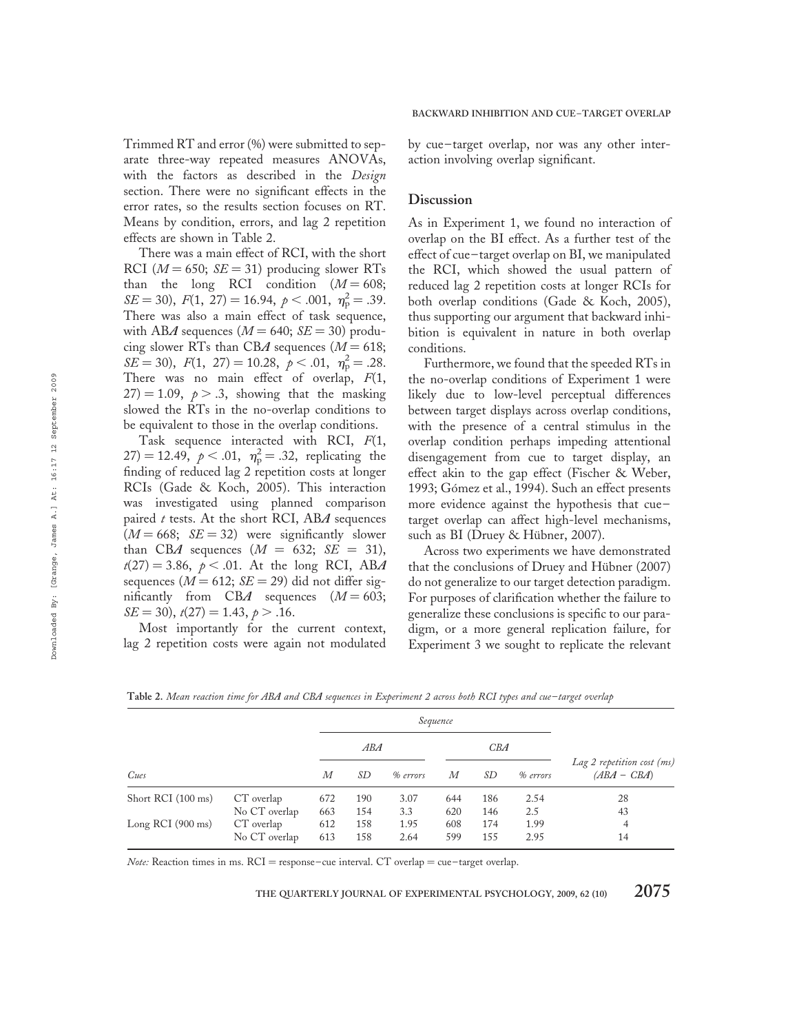Trimmed RT and error (%) were submitted to separate three-way repeated measures ANOVAs, with the factors as described in the Design section. There were no significant effects in the error rates, so the results section focuses on RT. Means by condition, errors, and lag 2 repetition effects are shown in Table 2.

There was a main effect of RCI, with the short RCI ( $M = 650$ ;  $SE = 31$ ) producing slower RTs than the long RCI condition  $(M = 608;$  $SE = 30$ ,  $F(1, 27) = 16.94, p < .001, \eta_{\rm p}^2 = .39.$ There was also a main effect of task sequence, with ABA sequences ( $M = 640$ ;  $SE = 30$ ) producing slower RTs than CBA sequences ( $M = 618$ ;  $SE = 30$ ,  $F(1, 27) = 10.28$ ,  $p < .01$ ,  $\eta_p^2 = .28$ . There was no main effect of overlap,  $F(1, 1)$  $27$ ) = 1.09,  $p > .3$ , showing that the masking slowed the RTs in the no-overlap conditions to be equivalent to those in the overlap conditions.

Task sequence interacted with RCI,  $F(1, 1)$ 27) = 12.49,  $p < .01$ ,  $\eta_{\rm p}^2 = .32$ , replicating the finding of reduced lag 2 repetition costs at longer RCIs (Gade & Koch, 2005). This interaction was investigated using planned comparison paired  $t$  tests. At the short RCI, ABA sequences  $(M = 668; \tS E = 32)$  were significantly slower than CBA sequences  $(M = 632; SE = 31)$ ,  $t(27) = 3.86$ ,  $p < .01$ . At the long RCI, ABA sequences ( $M = 612$ ;  $SE = 29$ ) did not differ significantly from CBA sequences  $(M = 603;$  $SE = 30$ ,  $t(27) = 1.43$ ,  $p > .16$ .

Most importantly for the current context, lag 2 repetition costs were again not modulated by cue – target overlap, nor was any other interaction involving overlap significant.

#### **Discussion**

As in Experiment 1, we found no interaction of overlap on the BI effect. As a further test of the effect of cue – target overlap on BI, we manipulated the RCI, which showed the usual pattern of reduced lag 2 repetition costs at longer RCIs for both overlap conditions (Gade & Koch, 2005), thus supporting our argument that backward inhibition is equivalent in nature in both overlap conditions.

Furthermore, we found that the speeded RTs in the no-overlap conditions of Experiment 1 were likely due to low-level perceptual differences between target displays across overlap conditions, with the presence of a central stimulus in the overlap condition perhaps impeding attentional disengagement from cue to target display, an effect akin to the gap effect (Fischer & Weber, 1993; Gómez et al., 1994). Such an effect presents more evidence against the hypothesis that cue – target overlap can affect high-level mechanisms, such as BI (Druey & Hübner, 2007).

Across two experiments we have demonstrated that the conclusions of Druey and Hübner (2007) do not generalize to our target detection paradigm. For purposes of clarification whether the failure to generalize these conclusions is specific to our paradigm, or a more general replication failure, for Experiment 3 we sought to replicate the relevant

Table 2. Mean reaction time for ABA and CBA sequences in Experiment 2 across both RCI types and cue-target overlap

|                             |               |                     |     | Sequence |                  |     |          |                                             |
|-----------------------------|---------------|---------------------|-----|----------|------------------|-----|----------|---------------------------------------------|
|                             |               | ABA                 |     |          | CBA              |     |          |                                             |
| Cues                        |               | SD<br>М<br>% errors |     |          | $\boldsymbol{M}$ | SD  | % errors | Lag 2 repetition cost (ms)<br>$(ABA - CBA)$ |
| Short RCI (100 ms)          | CT overlap    | 672                 | 190 | 3.07     | 644              | 186 | 2.54     | 28                                          |
|                             | No CT overlap | 663                 | 154 | 3.3      | 620              | 146 | 2.5      | 43                                          |
| Long RCI $(900 \text{ ms})$ | CT overlap    | 612                 | 158 | 1.95     | 608              | 174 | 1.99     | 4                                           |
|                             | No CT overlap | 613                 | 158 | 2.64     | 599              | 155 | 2.95     | 14                                          |

Note: Reaction times in ms.  $RCI =$  response–cue interval.  $CT$  overlap = cue–target overlap.

THE QUARTERLY JOURNAL OF EXPERIMENTAL PSYCHOLOGY, 2009, 62 (10)  $2075$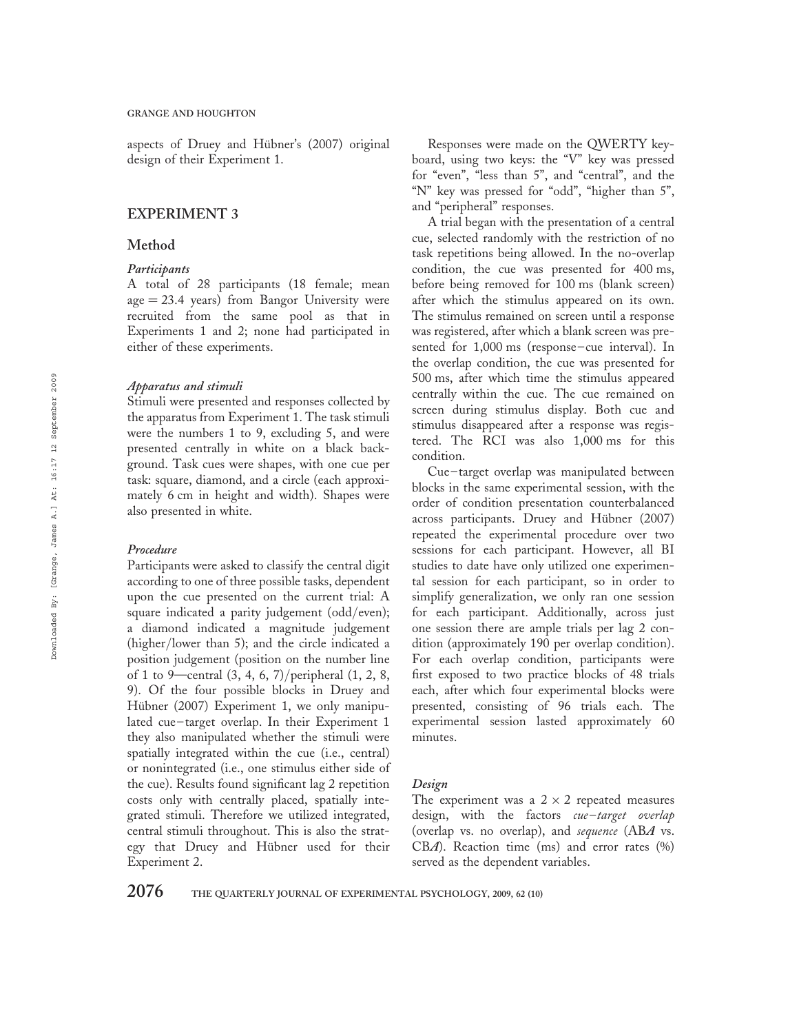aspects of Druey and Hübner's (2007) original design of their Experiment 1.

# EXPERIMENT 3

# Method

## **Participants**

A total of 28 participants (18 female; mean  $age = 23.4$  years) from Bangor University were recruited from the same pool as that in Experiments 1 and 2; none had participated in either of these experiments.

#### Apparatus and stimuli

Stimuli were presented and responses collected by the apparatus from Experiment 1. The task stimuli were the numbers 1 to 9, excluding 5, and were presented centrally in white on a black background. Task cues were shapes, with one cue per task: square, diamond, and a circle (each approximately 6 cm in height and width). Shapes were also presented in white.

#### Procedure

Participants were asked to classify the central digit according to one of three possible tasks, dependent upon the cue presented on the current trial: A square indicated a parity judgement (odd/even); a diamond indicated a magnitude judgement (higher/lower than 5); and the circle indicated a position judgement (position on the number line of 1 to 9—central (3, 4, 6, 7)/peripheral (1, 2, 8, 9). Of the four possible blocks in Druey and Hübner (2007) Experiment 1, we only manipulated cue-target overlap. In their Experiment 1 they also manipulated whether the stimuli were spatially integrated within the cue (i.e., central) or nonintegrated (i.e., one stimulus either side of the cue). Results found significant lag 2 repetition costs only with centrally placed, spatially integrated stimuli. Therefore we utilized integrated, central stimuli throughout. This is also the strategy that Druey and Hübner used for their Experiment 2.

Responses were made on the QWERTY keyboard, using two keys: the "V" key was pressed for "even", "less than 5", and "central", and the "N" key was pressed for "odd", "higher than 5", and "peripheral" responses.

A trial began with the presentation of a central cue, selected randomly with the restriction of no task repetitions being allowed. In the no-overlap condition, the cue was presented for 400 ms, before being removed for 100 ms (blank screen) after which the stimulus appeared on its own. The stimulus remained on screen until a response was registered, after which a blank screen was presented for 1,000 ms (response-cue interval). In the overlap condition, the cue was presented for 500 ms, after which time the stimulus appeared centrally within the cue. The cue remained on screen during stimulus display. Both cue and stimulus disappeared after a response was registered. The RCI was also 1,000 ms for this condition.

Cue – target overlap was manipulated between blocks in the same experimental session, with the order of condition presentation counterbalanced across participants. Druey and Hübner (2007) repeated the experimental procedure over two sessions for each participant. However, all BI studies to date have only utilized one experimental session for each participant, so in order to simplify generalization, we only ran one session for each participant. Additionally, across just one session there are ample trials per lag 2 condition (approximately 190 per overlap condition). For each overlap condition, participants were first exposed to two practice blocks of 48 trials each, after which four experimental blocks were presented, consisting of 96 trials each. The experimental session lasted approximately 60 minutes.

#### Design

The experiment was a  $2 \times 2$  repeated measures design, with the factors cue-target overlap (overlap vs. no overlap), and sequence (ABA vs. CBA). Reaction time (ms) and error rates (%) served as the dependent variables.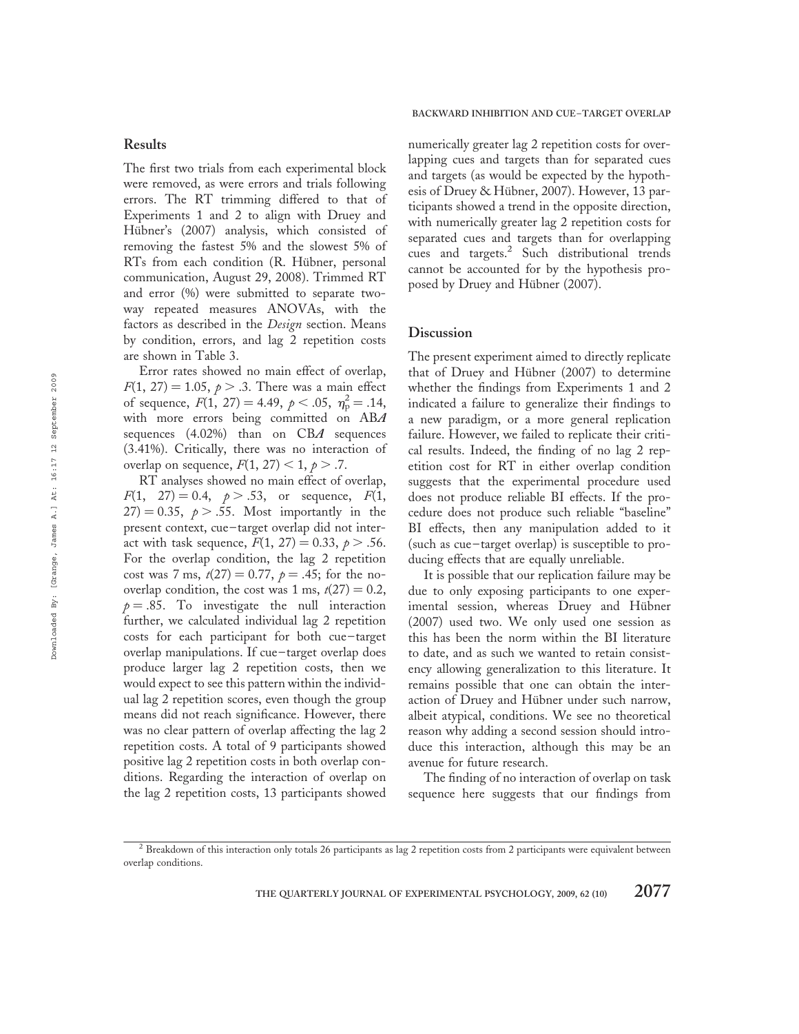# Results

The first two trials from each experimental block were removed, as were errors and trials following errors. The RT trimming differed to that of Experiments 1 and 2 to align with Druey and Hübner's (2007) analysis, which consisted of removing the fastest 5% and the slowest 5% of RTs from each condition (R. Hübner, personal communication, August 29, 2008). Trimmed RT and error (%) were submitted to separate twoway repeated measures ANOVAs, with the factors as described in the Design section. Means by condition, errors, and lag 2 repetition costs are shown in Table 3.

Error rates showed no main effect of overlap,  $F(1, 27) = 1.05, p > .3$ . There was a main effect of sequence,  $F(1, 27) = 4.49, p < .05, \eta_{p}^{2} = .14,$ with more errors being committed on ABA sequences  $(4.02\%)$  than on CBA sequences (3.41%). Critically, there was no interaction of overlap on sequence,  $F(1, 27) < 1, p > .7$ .

RT analyses showed no main effect of overlap,  $F(1, 27) = 0.4, p > .53,$  or sequence,  $F(1,$  $27$ ) = 0.35,  $p > .55$ . Most importantly in the present context, cue – target overlap did not interact with task sequence,  $F(1, 27) = 0.33, p > .56$ . For the overlap condition, the lag 2 repetition cost was 7 ms,  $t(27) = 0.77$ ,  $p = .45$ ; for the nooverlap condition, the cost was 1 ms,  $t(27) = 0.2$ ,  $p = .85$ . To investigate the null interaction further, we calculated individual lag 2 repetition costs for each participant for both cue-target overlap manipulations. If cue – target overlap does produce larger lag 2 repetition costs, then we would expect to see this pattern within the individual lag 2 repetition scores, even though the group means did not reach significance. However, there was no clear pattern of overlap affecting the lag 2 repetition costs. A total of 9 participants showed positive lag 2 repetition costs in both overlap conditions. Regarding the interaction of overlap on the lag 2 repetition costs, 13 participants showed

BACKWARD INHIBITION AND CUE –TARGET OVERLAP

numerically greater lag 2 repetition costs for overlapping cues and targets than for separated cues and targets (as would be expected by the hypothesis of Druey & Hübner, 2007). However, 13 participants showed a trend in the opposite direction, with numerically greater lag 2 repetition costs for separated cues and targets than for overlapping cues and targets.<sup>2</sup> Such distributional trends cannot be accounted for by the hypothesis proposed by Druey and Hübner (2007).

### **Discussion**

The present experiment aimed to directly replicate that of Druey and Hübner  $(2007)$  to determine whether the findings from Experiments 1 and 2 indicated a failure to generalize their findings to a new paradigm, or a more general replication failure. However, we failed to replicate their critical results. Indeed, the finding of no lag 2 repetition cost for RT in either overlap condition suggests that the experimental procedure used does not produce reliable BI effects. If the procedure does not produce such reliable "baseline" BI effects, then any manipulation added to it (such as cue – target overlap) is susceptible to producing effects that are equally unreliable.

It is possible that our replication failure may be due to only exposing participants to one experimental session, whereas Druey and Hübner (2007) used two. We only used one session as this has been the norm within the BI literature to date, and as such we wanted to retain consistency allowing generalization to this literature. It remains possible that one can obtain the interaction of Druey and Hübner under such narrow, albeit atypical, conditions. We see no theoretical reason why adding a second session should introduce this interaction, although this may be an avenue for future research.

The finding of no interaction of overlap on task sequence here suggests that our findings from

THE QUARTERLY JOURNAL OF EXPERIMENTAL PSYCHOLOGY, 2009, 62 (10)  $2077$ 

<sup>2</sup> Breakdown of this interaction only totals 26 participants as lag 2 repetition costs from 2 participants were equivalent between overlap conditions.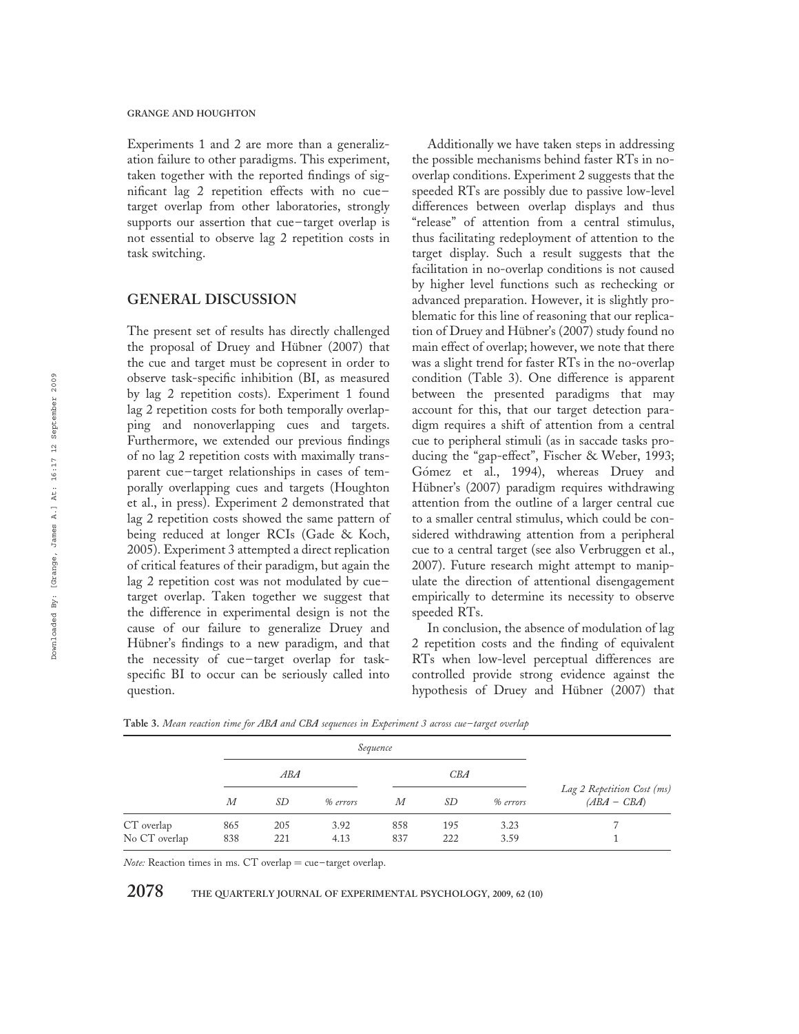Experiments 1 and 2 are more than a generalization failure to other paradigms. This experiment, taken together with the reported findings of significant lag 2 repetition effects with no cue – target overlap from other laboratories, strongly supports our assertion that cue-target overlap is not essential to observe lag 2 repetition costs in task switching.

# GENERAL DISCUSSION

The present set of results has directly challenged the proposal of Druey and Hübner (2007) that the cue and target must be copresent in order to observe task-specific inhibition (BI, as measured by lag 2 repetition costs). Experiment 1 found lag 2 repetition costs for both temporally overlapping and nonoverlapping cues and targets. Furthermore, we extended our previous findings of no lag 2 repetition costs with maximally transparent cue – target relationships in cases of temporally overlapping cues and targets (Houghton et al., in press). Experiment 2 demonstrated that lag 2 repetition costs showed the same pattern of being reduced at longer RCIs (Gade & Koch, 2005). Experiment 3 attempted a direct replication of critical features of their paradigm, but again the lag 2 repetition cost was not modulated by cuetarget overlap. Taken together we suggest that the difference in experimental design is not the cause of our failure to generalize Druey and Hübner's findings to a new paradigm, and that the necessity of cue – target overlap for taskspecific BI to occur can be seriously called into question.

Additionally we have taken steps in addressing the possible mechanisms behind faster RTs in nooverlap conditions. Experiment 2 suggests that the speeded RTs are possibly due to passive low-level differences between overlap displays and thus "release" of attention from a central stimulus, thus facilitating redeployment of attention to the target display. Such a result suggests that the facilitation in no-overlap conditions is not caused by higher level functions such as rechecking or advanced preparation. However, it is slightly problematic for this line of reasoning that our replication of Druey and Hübner's (2007) study found no main effect of overlap; however, we note that there was a slight trend for faster RTs in the no-overlap condition (Table 3). One difference is apparent between the presented paradigms that may account for this, that our target detection paradigm requires a shift of attention from a central cue to peripheral stimuli (as in saccade tasks producing the "gap-effect", Fischer & Weber, 1993; Gómez et al., 1994), whereas Druey and Hübner's (2007) paradigm requires withdrawing attention from the outline of a larger central cue to a smaller central stimulus, which could be considered withdrawing attention from a peripheral cue to a central target (see also Verbruggen et al., 2007). Future research might attempt to manipulate the direction of attentional disengagement empirically to determine its necessity to observe speeded RTs.

In conclusion, the absence of modulation of lag 2 repetition costs and the finding of equivalent RTs when low-level perceptual differences are controlled provide strong evidence against the hypothesis of Druey and Hübner (2007) that

Sequence Lag 2 Repetition Cost (ms)  $(ABA - CBA)$ ABA CBA M SD % errors M SD % errors CT overlap 865 205 3.92 858 195 3.23 7 No CT overlap 838 221 4.13 837 222 3.59 1

Table 3. Mean reaction time for ABA and CBA sequences in Experiment 3 across cue-target overlap

Note: Reaction times in ms. CT overlap = cue-target overlap.

 $2078$  THE QUARTERLY JOURNAL OF EXPERIMENTAL PSYCHOLOGY, 2009, 62 (10)